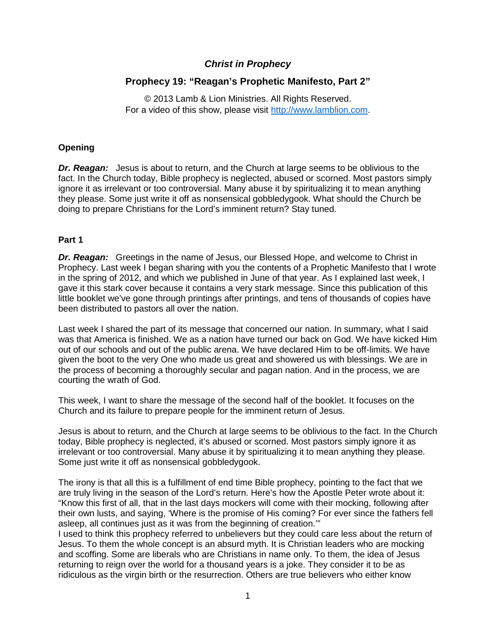# *Christ in Prophecy*

## **Prophecy 19: "Reagan's Prophetic Manifesto, Part 2"**

© 2013 Lamb & Lion Ministries. All Rights Reserved. For a video of this show, please visit [http://www.lamblion.com.](http://www.lamblion.com/)

### **Opening**

*Dr. Reagan:* Jesus is about to return, and the Church at large seems to be oblivious to the fact. In the Church today, Bible prophecy is neglected, abused or scorned. Most pastors simply ignore it as irrelevant or too controversial. Many abuse it by spiritualizing it to mean anything they please. Some just write it off as nonsensical gobbledygook. What should the Church be doing to prepare Christians for the Lord's imminent return? Stay tuned.

### **Part 1**

**Dr. Reagan:** Greetings in the name of Jesus, our Blessed Hope, and welcome to Christ in Prophecy. Last week I began sharing with you the contents of a Prophetic Manifesto that I wrote in the spring of 2012, and which we published in June of that year. As I explained last week, I gave it this stark cover because it contains a very stark message. Since this publication of this little booklet we've gone through printings after printings, and tens of thousands of copies have been distributed to pastors all over the nation.

Last week I shared the part of its message that concerned our nation. In summary, what I said was that America is finished. We as a nation have turned our back on God. We have kicked Him out of our schools and out of the public arena. We have declared Him to be off-limits. We have given the boot to the very One who made us great and showered us with blessings. We are in the process of becoming a thoroughly secular and pagan nation. And in the process, we are courting the wrath of God.

This week, I want to share the message of the second half of the booklet. It focuses on the Church and its failure to prepare people for the imminent return of Jesus.

Jesus is about to return, and the Church at large seems to be oblivious to the fact. In the Church today, Bible prophecy is neglected, it's abused or scorned. Most pastors simply ignore it as irrelevant or too controversial. Many abuse it by spiritualizing it to mean anything they please. Some just write it off as nonsensical gobbledygook.

The irony is that all this is a fulfillment of end time Bible prophecy, pointing to the fact that we are truly living in the season of the Lord's return. Here's how the Apostle Peter wrote about it: "Know this first of all, that in the last days mockers will come with their mocking, following after their own lusts, and saying, 'Where is the promise of His coming? For ever since the fathers fell asleep, all continues just as it was from the beginning of creation.'"

I used to think this prophecy referred to unbelievers but they could care less about the return of Jesus. To them the whole concept is an absurd myth. It is Christian leaders who are mocking and scoffing. Some are liberals who are Christians in name only. To them, the idea of Jesus returning to reign over the world for a thousand years is a joke. They consider it to be as ridiculous as the virgin birth or the resurrection. Others are true believers who either know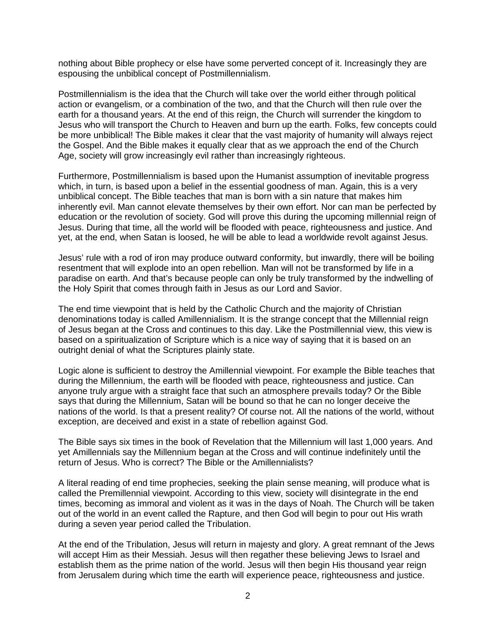nothing about Bible prophecy or else have some perverted concept of it. Increasingly they are espousing the unbiblical concept of Postmillennialism.

Postmillennialism is the idea that the Church will take over the world either through political action or evangelism, or a combination of the two, and that the Church will then rule over the earth for a thousand years. At the end of this reign, the Church will surrender the kingdom to Jesus who will transport the Church to Heaven and burn up the earth. Folks, few concepts could be more unbiblical! The Bible makes it clear that the vast majority of humanity will always reject the Gospel. And the Bible makes it equally clear that as we approach the end of the Church Age, society will grow increasingly evil rather than increasingly righteous.

Furthermore, Postmillennialism is based upon the Humanist assumption of inevitable progress which, in turn, is based upon a belief in the essential goodness of man. Again, this is a very unbiblical concept. The Bible teaches that man is born with a sin nature that makes him inherently evil. Man cannot elevate themselves by their own effort. Nor can man be perfected by education or the revolution of society. God will prove this during the upcoming millennial reign of Jesus. During that time, all the world will be flooded with peace, righteousness and justice. And yet, at the end, when Satan is loosed, he will be able to lead a worldwide revolt against Jesus.

Jesus' rule with a rod of iron may produce outward conformity, but inwardly, there will be boiling resentment that will explode into an open rebellion. Man will not be transformed by life in a paradise on earth. And that's because people can only be truly transformed by the indwelling of the Holy Spirit that comes through faith in Jesus as our Lord and Savior.

The end time viewpoint that is held by the Catholic Church and the majority of Christian denominations today is called Amillennialism. It is the strange concept that the Millennial reign of Jesus began at the Cross and continues to this day. Like the Postmillennial view, this view is based on a spiritualization of Scripture which is a nice way of saying that it is based on an outright denial of what the Scriptures plainly state.

Logic alone is sufficient to destroy the Amillennial viewpoint. For example the Bible teaches that during the Millennium, the earth will be flooded with peace, righteousness and justice. Can anyone truly argue with a straight face that such an atmosphere prevails today? Or the Bible says that during the Millennium, Satan will be bound so that he can no longer deceive the nations of the world. Is that a present reality? Of course not. All the nations of the world, without exception, are deceived and exist in a state of rebellion against God.

The Bible says six times in the book of Revelation that the Millennium will last 1,000 years. And yet Amillennials say the Millennium began at the Cross and will continue indefinitely until the return of Jesus. Who is correct? The Bible or the Amillennialists?

A literal reading of end time prophecies, seeking the plain sense meaning, will produce what is called the Premillennial viewpoint. According to this view, society will disintegrate in the end times, becoming as immoral and violent as it was in the days of Noah. The Church will be taken out of the world in an event called the Rapture, and then God will begin to pour out His wrath during a seven year period called the Tribulation.

At the end of the Tribulation, Jesus will return in majesty and glory. A great remnant of the Jews will accept Him as their Messiah. Jesus will then regather these believing Jews to Israel and establish them as the prime nation of the world. Jesus will then begin His thousand year reign from Jerusalem during which time the earth will experience peace, righteousness and justice.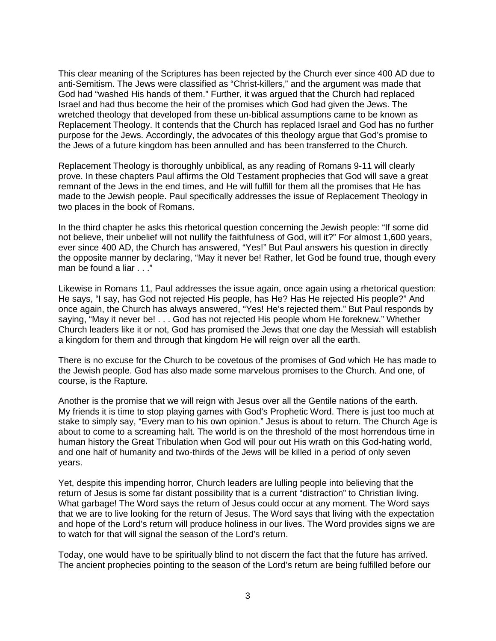This clear meaning of the Scriptures has been rejected by the Church ever since 400 AD due to anti-Semitism. The Jews were classified as "Christ-killers," and the argument was made that God had "washed His hands of them." Further, it was argued that the Church had replaced Israel and had thus become the heir of the promises which God had given the Jews. The wretched theology that developed from these un-biblical assumptions came to be known as Replacement Theology. It contends that the Church has replaced Israel and God has no further purpose for the Jews. Accordingly, the advocates of this theology argue that God's promise to the Jews of a future kingdom has been annulled and has been transferred to the Church.

Replacement Theology is thoroughly unbiblical, as any reading of Romans 9-11 will clearly prove. In these chapters Paul affirms the Old Testament prophecies that God will save a great remnant of the Jews in the end times, and He will fulfill for them all the promises that He has made to the Jewish people. Paul specifically addresses the issue of Replacement Theology in two places in the book of Romans.

In the third chapter he asks this rhetorical question concerning the Jewish people: "If some did not believe, their unbelief will not nullify the faithfulness of God, will it?" For almost 1,600 years, ever since 400 AD, the Church has answered, "Yes!" But Paul answers his question in directly the opposite manner by declaring, "May it never be! Rather, let God be found true, though every man be found a liar . . ."

Likewise in Romans 11, Paul addresses the issue again, once again using a rhetorical question: He says, "I say, has God not rejected His people, has He? Has He rejected His people?" And once again, the Church has always answered, "Yes! He's rejected them." But Paul responds by saying, "May it never be! . . . God has not rejected His people whom He foreknew." Whether Church leaders like it or not, God has promised the Jews that one day the Messiah will establish a kingdom for them and through that kingdom He will reign over all the earth.

There is no excuse for the Church to be covetous of the promises of God which He has made to the Jewish people. God has also made some marvelous promises to the Church. And one, of course, is the Rapture.

Another is the promise that we will reign with Jesus over all the Gentile nations of the earth. My friends it is time to stop playing games with God's Prophetic Word. There is just too much at stake to simply say, "Every man to his own opinion." Jesus is about to return. The Church Age is about to come to a screaming halt. The world is on the threshold of the most horrendous time in human history the Great Tribulation when God will pour out His wrath on this God-hating world, and one half of humanity and two-thirds of the Jews will be killed in a period of only seven years.

Yet, despite this impending horror, Church leaders are lulling people into believing that the return of Jesus is some far distant possibility that is a current "distraction" to Christian living. What garbage! The Word says the return of Jesus could occur at any moment. The Word says that we are to live looking for the return of Jesus. The Word says that living with the expectation and hope of the Lord's return will produce holiness in our lives. The Word provides signs we are to watch for that will signal the season of the Lord's return.

Today, one would have to be spiritually blind to not discern the fact that the future has arrived. The ancient prophecies pointing to the season of the Lord's return are being fulfilled before our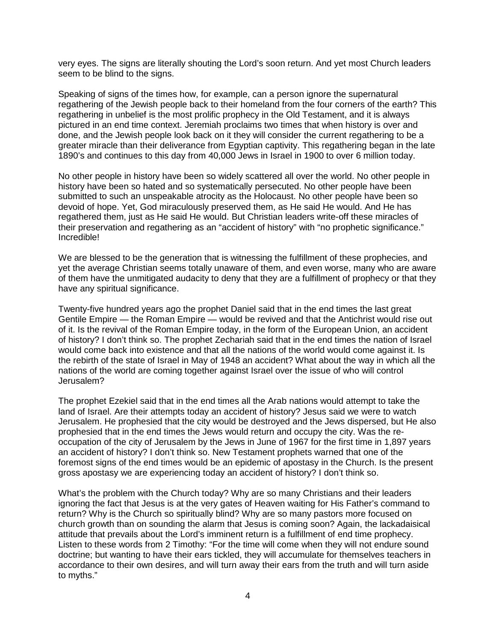very eyes. The signs are literally shouting the Lord's soon return. And yet most Church leaders seem to be blind to the signs.

Speaking of signs of the times how, for example, can a person ignore the supernatural regathering of the Jewish people back to their homeland from the four corners of the earth? This regathering in unbelief is the most prolific prophecy in the Old Testament, and it is always pictured in an end time context. Jeremiah proclaims two times that when history is over and done, and the Jewish people look back on it they will consider the current regathering to be a greater miracle than their deliverance from Egyptian captivity. This regathering began in the late 1890's and continues to this day from 40,000 Jews in Israel in 1900 to over 6 million today.

No other people in history have been so widely scattered all over the world. No other people in history have been so hated and so systematically persecuted. No other people have been submitted to such an unspeakable atrocity as the Holocaust. No other people have been so devoid of hope. Yet, God miraculously preserved them, as He said He would. And He has regathered them, just as He said He would. But Christian leaders write-off these miracles of their preservation and regathering as an "accident of history" with "no prophetic significance." Incredible!

We are blessed to be the generation that is witnessing the fulfillment of these prophecies, and yet the average Christian seems totally unaware of them, and even worse, many who are aware of them have the unmitigated audacity to deny that they are a fulfillment of prophecy or that they have any spiritual significance.

Twenty-five hundred years ago the prophet Daniel said that in the end times the last great Gentile Empire — the Roman Empire — would be revived and that the Antichrist would rise out of it. Is the revival of the Roman Empire today, in the form of the European Union, an accident of history? I don't think so. The prophet Zechariah said that in the end times the nation of Israel would come back into existence and that all the nations of the world would come against it. Is the rebirth of the state of Israel in May of 1948 an accident? What about the way in which all the nations of the world are coming together against Israel over the issue of who will control Jerusalem?

The prophet Ezekiel said that in the end times all the Arab nations would attempt to take the land of Israel. Are their attempts today an accident of history? Jesus said we were to watch Jerusalem. He prophesied that the city would be destroyed and the Jews dispersed, but He also prophesied that in the end times the Jews would return and occupy the city. Was the reoccupation of the city of Jerusalem by the Jews in June of 1967 for the first time in 1,897 years an accident of history? I don't think so. New Testament prophets warned that one of the foremost signs of the end times would be an epidemic of apostasy in the Church. Is the present gross apostasy we are experiencing today an accident of history? I don't think so.

What's the problem with the Church today? Why are so many Christians and their leaders ignoring the fact that Jesus is at the very gates of Heaven waiting for His Father's command to return? Why is the Church so spiritually blind? Why are so many pastors more focused on church growth than on sounding the alarm that Jesus is coming soon? Again, the lackadaisical attitude that prevails about the Lord's imminent return is a fulfillment of end time prophecy. Listen to these words from 2 Timothy: "For the time will come when they will not endure sound doctrine; but wanting to have their ears tickled, they will accumulate for themselves teachers in accordance to their own desires, and will turn away their ears from the truth and will turn aside to myths."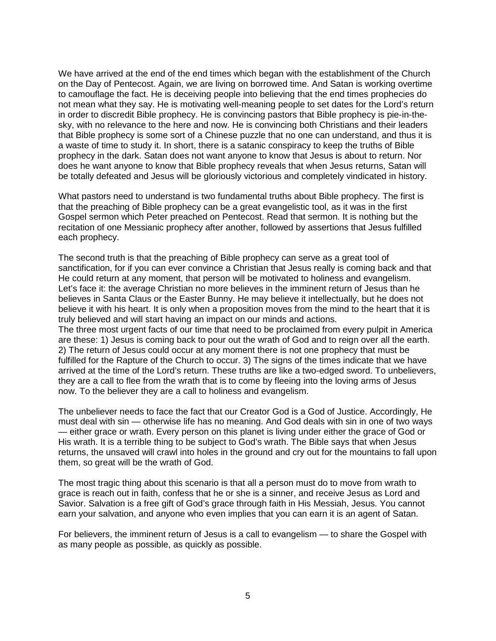We have arrived at the end of the end times which began with the establishment of the Church on the Day of Pentecost. Again, we are living on borrowed time. And Satan is working overtime to camouflage the fact. He is deceiving people into believing that the end times prophecies do not mean what they say. He is motivating well-meaning people to set dates for the Lord's return in order to discredit Bible prophecy. He is convincing pastors that Bible prophecy is pie-in-thesky, with no relevance to the here and now. He is convincing both Christians and their leaders that Bible prophecy is some sort of a Chinese puzzle that no one can understand, and thus it is a waste of time to study it. In short, there is a satanic conspiracy to keep the truths of Bible prophecy in the dark. Satan does not want anyone to know that Jesus is about to return. Nor does he want anyone to know that Bible prophecy reveals that when Jesus returns, Satan will be totally defeated and Jesus will be gloriously victorious and completely vindicated in history.

What pastors need to understand is two fundamental truths about Bible prophecy. The first is that the preaching of Bible prophecy can be a great evangelistic tool, as it was in the first Gospel sermon which Peter preached on Pentecost. Read that sermon. It is nothing but the recitation of one Messianic prophecy after another, followed by assertions that Jesus fulfilled each prophecy.

The second truth is that the preaching of Bible prophecy can serve as a great tool of sanctification, for if you can ever convince a Christian that Jesus really is coming back and that He could return at any moment, that person will be motivated to holiness and evangelism. Let's face it: the average Christian no more believes in the imminent return of Jesus than he believes in Santa Claus or the Easter Bunny. He may believe it intellectually, but he does not believe it with his heart. It is only when a proposition moves from the mind to the heart that it is truly believed and will start having an impact on our minds and actions.

The three most urgent facts of our time that need to be proclaimed from every pulpit in America are these: 1) Jesus is coming back to pour out the wrath of God and to reign over all the earth. 2) The return of Jesus could occur at any moment there is not one prophecy that must be fulfilled for the Rapture of the Church to occur. 3) The signs of the times indicate that we have arrived at the time of the Lord's return. These truths are like a two-edged sword. To unbelievers, they are a call to flee from the wrath that is to come by fleeing into the loving arms of Jesus now. To the believer they are a call to holiness and evangelism.

The unbeliever needs to face the fact that our Creator God is a God of Justice. Accordingly, He must deal with sin — otherwise life has no meaning. And God deals with sin in one of two ways — either grace or wrath. Every person on this planet is living under either the grace of God or His wrath. It is a terrible thing to be subject to God's wrath. The Bible says that when Jesus returns, the unsaved will crawl into holes in the ground and cry out for the mountains to fall upon them, so great will be the wrath of God.

The most tragic thing about this scenario is that all a person must do to move from wrath to grace is reach out in faith, confess that he or she is a sinner, and receive Jesus as Lord and Savior. Salvation is a free gift of God's grace through faith in His Messiah, Jesus. You cannot earn your salvation, and anyone who even implies that you can earn it is an agent of Satan.

For believers, the imminent return of Jesus is a call to evangelism — to share the Gospel with as many people as possible, as quickly as possible.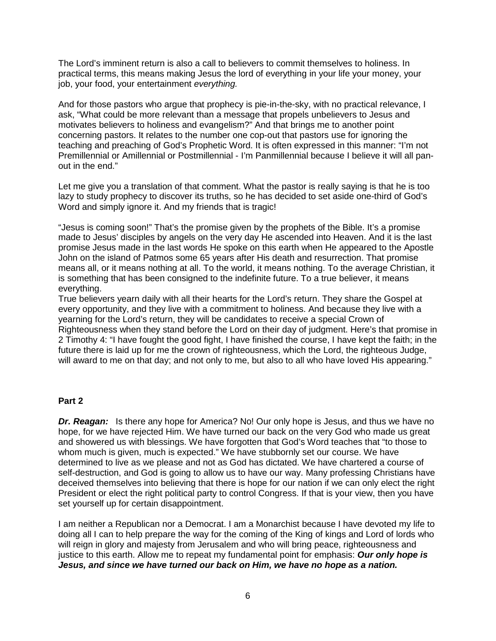The Lord's imminent return is also a call to believers to commit themselves to holiness. In practical terms, this means making Jesus the lord of everything in your life your money, your job, your food, your entertainment *everything.*

And for those pastors who argue that prophecy is pie-in-the-sky, with no practical relevance, I ask, "What could be more relevant than a message that propels unbelievers to Jesus and motivates believers to holiness and evangelism?" And that brings me to another point concerning pastors. It relates to the number one cop-out that pastors use for ignoring the teaching and preaching of God's Prophetic Word. It is often expressed in this manner: "I'm not Premillennial or Amillennial or Postmillennial - I'm Panmillennial because I believe it will all panout in the end."

Let me give you a translation of that comment. What the pastor is really saying is that he is too lazy to study prophecy to discover its truths, so he has decided to set aside one-third of God's Word and simply ignore it. And my friends that is tragic!

"Jesus is coming soon!" That's the promise given by the prophets of the Bible. It's a promise made to Jesus' disciples by angels on the very day He ascended into Heaven. And it is the last promise Jesus made in the last words He spoke on this earth when He appeared to the Apostle John on the island of Patmos some 65 years after His death and resurrection. That promise means all, or it means nothing at all. To the world, it means nothing. To the average Christian, it is something that has been consigned to the indefinite future. To a true believer, it means everything.

True believers yearn daily with all their hearts for the Lord's return. They share the Gospel at every opportunity, and they live with a commitment to holiness. And because they live with a yearning for the Lord's return, they will be candidates to receive a special Crown of Righteousness when they stand before the Lord on their day of judgment. Here's that promise in 2 Timothy 4: "I have fought the good fight, I have finished the course, I have kept the faith; in the future there is laid up for me the crown of righteousness, which the Lord, the righteous Judge, will award to me on that day; and not only to me, but also to all who have loved His appearing."

### **Part 2**

**Dr. Reagan:** Is there any hope for America? No! Our only hope is Jesus, and thus we have no hope, for we have rejected Him. We have turned our back on the very God who made us great and showered us with blessings. We have forgotten that God's Word teaches that "to those to whom much is given, much is expected." We have stubbornly set our course. We have determined to live as we please and not as God has dictated. We have chartered a course of self-destruction, and God is going to allow us to have our way. Many professing Christians have deceived themselves into believing that there is hope for our nation if we can only elect the right President or elect the right political party to control Congress. If that is your view, then you have set yourself up for certain disappointment.

I am neither a Republican nor a Democrat. I am a Monarchist because I have devoted my life to doing all I can to help prepare the way for the coming of the King of kings and Lord of lords who will reign in glory and majesty from Jerusalem and who will bring peace, righteousness and justice to this earth. Allow me to repeat my fundamental point for emphasis: *Our only hope is Jesus, and since we have turned our back on Him, we have no hope as a nation.*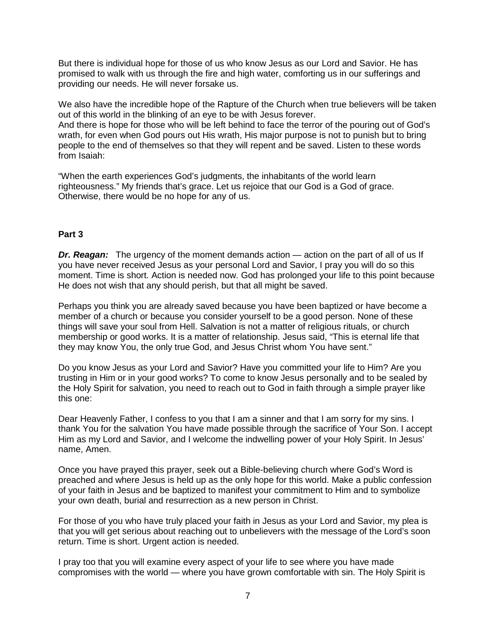But there is individual hope for those of us who know Jesus as our Lord and Savior. He has promised to walk with us through the fire and high water, comforting us in our sufferings and providing our needs. He will never forsake us.

We also have the incredible hope of the Rapture of the Church when true believers will be taken out of this world in the blinking of an eye to be with Jesus forever. And there is hope for those who will be left behind to face the terror of the pouring out of God's wrath, for even when God pours out His wrath, His major purpose is not to punish but to bring people to the end of themselves so that they will repent and be saved. Listen to these words from Isaiah:

"When the earth experiences God's judgments, the inhabitants of the world learn righteousness." My friends that's grace. Let us rejoice that our God is a God of grace. Otherwise, there would be no hope for any of us.

#### **Part 3**

*Dr. Reagan:* The urgency of the moment demands action — action on the part of all of us If you have never received Jesus as your personal Lord and Savior, I pray you will do so this moment. Time is short. Action is needed now. God has prolonged your life to this point because He does not wish that any should perish, but that all might be saved.

Perhaps you think you are already saved because you have been baptized or have become a member of a church or because you consider yourself to be a good person. None of these things will save your soul from Hell. Salvation is not a matter of religious rituals, or church membership or good works. It is a matter of relationship. Jesus said, "This is eternal life that they may know You, the only true God, and Jesus Christ whom You have sent."

Do you know Jesus as your Lord and Savior? Have you committed your life to Him? Are you trusting in Him or in your good works? To come to know Jesus personally and to be sealed by the Holy Spirit for salvation, you need to reach out to God in faith through a simple prayer like this one:

Dear Heavenly Father, I confess to you that I am a sinner and that I am sorry for my sins. I thank You for the salvation You have made possible through the sacrifice of Your Son. I accept Him as my Lord and Savior, and I welcome the indwelling power of your Holy Spirit. In Jesus' name, Amen.

Once you have prayed this prayer, seek out a Bible-believing church where God's Word is preached and where Jesus is held up as the only hope for this world. Make a public confession of your faith in Jesus and be baptized to manifest your commitment to Him and to symbolize your own death, burial and resurrection as a new person in Christ.

For those of you who have truly placed your faith in Jesus as your Lord and Savior, my plea is that you will get serious about reaching out to unbelievers with the message of the Lord's soon return. Time is short. Urgent action is needed.

I pray too that you will examine every aspect of your life to see where you have made compromises with the world — where you have grown comfortable with sin. The Holy Spirit is